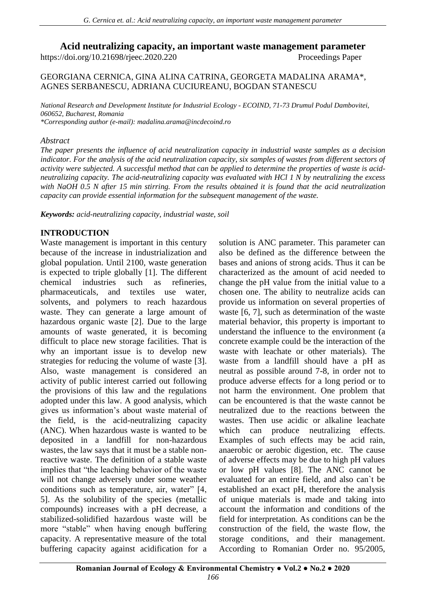**Acid neutralizing capacity, an important waste management parameter**

https://doi.org/10.21698/rjeec.2020.220 Proceedings Paper

GEORGIANA CERNICA, GINA ALINA CATRINA, GEORGETA MADALINA ARAMA\*, AGNES SERBANESCU, ADRIANA CUCIUREANU, BOGDAN STANESCU

*National Research and Development Institute for Industrial Ecology - ECOIND, 71-73 Drumul Podul Dambovitei, 060652, Bucharest, Romania \*Corresponding author (e-mail): [madalina.arama@incdecoind.ro](mailto:madalina.arama@incdecoind.ro)*

## *Abstract*

*The paper presents the influence of acid neutralization capacity in industrial waste samples as a decision indicator. For the analysis of the acid neutralization capacity, six samples of wastes from different sectors of activity were subjected. A successful method that can be applied to determine the properties of waste is acidneutralizing capacity. The acid-neutralizing capacity was evaluated with HCl 1 N by neutralizing the excess with NaOH 0.5 N after 15 min stirring. From the results obtained it is found that the acid neutralization capacity can provide essential information for the subsequent management of the waste.* 

*Keywords: acid-neutralizing capacity, industrial waste, soil*

# **INTRODUCTION**

Waste management is important in this century because of the increase in industrialization and global population. Until 2100, waste generation is expected to triple globally [1]. The different chemical industries such as refineries, pharmaceuticals, and textiles use water, solvents, and polymers to reach hazardous waste. They can generate a large amount of hazardous organic waste [2]. Due to the large amounts of waste generated, it is becoming difficult to place new storage facilities. That is why an important issue is to develop new strategies for reducing the volume of waste [3]. Also, waste management is considered an activity of public interest carried out following the provisions of this law and the regulations adopted under this law. A good analysis, which gives us information's about waste material of the field, is the acid-neutralizing capacity (ANC). When hazardous waste is wanted to be deposited in a landfill for non-hazardous wastes, the law says that it must be a stable nonreactive waste. The definition of a stable waste implies that "the leaching behavior of the waste will not change adversely under some weather conditions such as temperature, air, water" [4, 5]. As the solubility of the species (metallic compounds) increases with a pH decrease, a stabilized-solidified hazardous waste will be more "stable" when having enough buffering capacity. A representative measure of the total buffering capacity against acidification for a

solution is ANC parameter. This parameter can also be defined as the difference between the bases and anions of strong acids. Thus it can be characterized as the amount of acid needed to change the pH value from the initial value to a chosen one. The ability to neutralize acids can provide us information on several properties of waste [6, 7], such as determination of the waste material behavior, this property is important to understand the influence to the environment (a concrete example could be the interaction of the waste with leachate or other materials). The waste from a landfill should have a pH as neutral as possible around 7-8, in order not to produce adverse effects for a long period or to not harm the environment. One problem that can be encountered is that the waste cannot be neutralized due to the reactions between the wastes. Then use acidic or alkaline leachate which can produce neutralizing effects. Examples of such effects may be acid rain, anaerobic or aerobic digestion, etc. The cause of adverse effects may be due to high pH values or low pH values [8]. The ANC cannot be evaluated for an entire field, and also can`t be established an exact pH, therefore the analysis of unique materials is made and taking into account the information and conditions of the field for interpretation. As conditions can be the construction of the field, the waste flow, the storage conditions, and their management. According to Romanian Order no. 95/2005,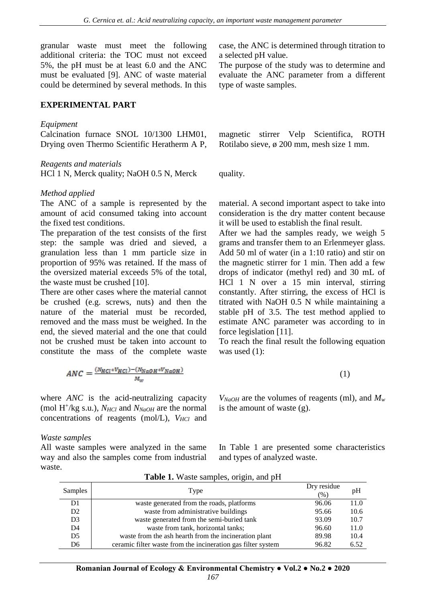granular waste must meet the following additional criteria: the TOC must not exceed 5%, the pH must be at least 6.0 and the ANC must be evaluated [9]. ANC of waste material could be determined by several methods. In this

## **EXPERIMENTAL PART**

### *Equipment*

Calcination furnace SNOL 10/1300 LHM01, Drying oven Thermo Scientific Heratherm A P,

#### *Reagents and materials*

HCl 1 N, Merck quality; NaOH 0.5 N, Merck quality.

### *Method applied*

The ANC of a sample is represented by the amount of acid consumed taking into account the fixed test conditions.

The preparation of the test consists of the first step: the sample was dried and sieved, a granulation less than 1 mm particle size in proportion of 95% was retained. If the mass of the oversized material exceeds 5% of the total, the waste must be crushed [10].

There are other cases where the material cannot be crushed (e.g. screws, nuts) and then the nature of the material must be recorded, removed and the mass must be weighed. In the end, the sieved material and the one that could not be crushed must be taken into account to constitute the mass of the complete waste

case, the ANC is determined through titration to a selected pH value.

The purpose of the study was to determine and evaluate the ANC parameter from a different type of waste samples.

magnetic stirrer Velp Scientifica, ROTH Rotilabo sieve, ø 200 mm, mesh size 1 mm.

material. A second important aspect to take into consideration is the dry matter content because it will be used to establish the final result.

After we had the samples ready, we weigh 5 grams and transfer them to an Erlenmeyer glass. Add 50 ml of water (in a 1:10 ratio) and stir on the magnetic stirrer for 1 min. Then add a few drops of indicator (methyl red) and 30 mL of HCl 1 N over a 15 min interval, stirring constantly. After stirring, the excess of HCl is titrated with NaOH 0.5 N while maintaining a stable pH of 3.5. The test method applied to estimate ANC parameter was according to in force legislation [11].

To reach the final result the following equation was used  $(1)$ :

$$
ANC = \frac{(N_{HCl} * V_{HCl}) - (N_{NaOH} * V_{NaOH})}{M_W}
$$
\n
$$
\tag{1}
$$

where *ANC* is the acid-neutralizing capacity (mol H<sup>+</sup> /kg s.u.), *NHCl* and *NNaOH* are the normal concentrations of reagents (mol/L), *VHCl* and

#### *Waste samples*

All waste samples were analyzed in the same way and also the samples come from industrial waste.

*VNaOH* are the volumes of reagents (ml), and *M<sup>w</sup>* is the amount of waste (g).

In Table 1 are presented some characteristics and types of analyzed waste.

| <b>Samples</b> | Type                                                         | Dry residue<br>$(\%)$ | pH   |
|----------------|--------------------------------------------------------------|-----------------------|------|
| D1             | waste generated from the roads, platforms                    | 96.06                 | 11.0 |
| D <sub>2</sub> | waste from administrative buildings                          | 95.66                 | 10.6 |
| D <sub>3</sub> | waste generated from the semi-buried tank                    | 93.09                 | 10.7 |
| D <sub>4</sub> | waste from tank, horizontal tanks;                           | 96.60                 | 11.0 |
| D5             | waste from the ash hearth from the incineration plant        | 89.98                 | 10.4 |
| D6             | ceramic filter waste from the incineration gas filter system | 96.82                 | 6.52 |

| Table 1. Waste samples, origin, and pH |  |  |  |  |  |
|----------------------------------------|--|--|--|--|--|
|----------------------------------------|--|--|--|--|--|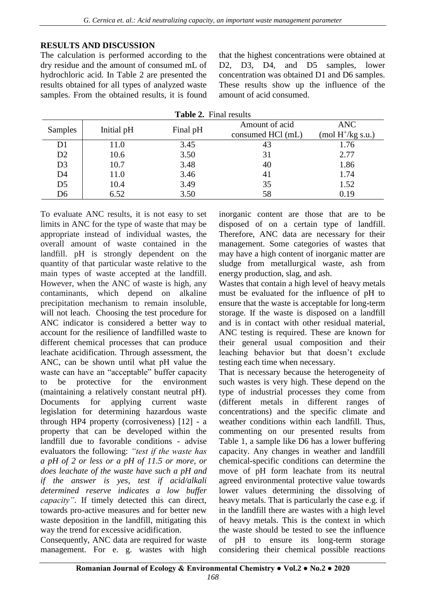# **RESULTS AND DISCUSSION**

The calculation is performed according to the dry residue and the amount of consumed mL of hydrochloric acid. In Table 2 are presented the results obtained for all types of analyzed waste samples. From the obtained results, it is found that the highest concentrations were obtained at D2, D3, D4, and D5 samples, lower concentration was obtained D1 and D6 samples. These results show up the influence of the amount of acid consumed.

| Samples        | Initial pH | Final pH | Amount of acid    | <b>ANC</b>                   |
|----------------|------------|----------|-------------------|------------------------------|
|                |            |          | consumed HCl (mL) | $\pmod{H^+/kg \text{ s.u.}}$ |
| D <sub>1</sub> | 11.0       | 3.45     | 43                | 1.76                         |
| D2             | 10.6       | 3.50     | 31                | 2.77                         |
| D <sub>3</sub> | 10.7       | 3.48     | 40                | 1.86                         |
| D <sub>4</sub> | 11.0       | 3.46     | 41                | 1.74                         |
| D <sub>5</sub> | 10.4       | 3.49     | 35                | 1.52                         |
| D <sub>6</sub> | 6.52       | 3.50     | 58                | 0.19                         |

**Table 2.** Final results

To evaluate ANC results, it is not easy to set limits in ANC for the type of waste that may be appropriate instead of individual wastes, the overall amount of waste contained in the landfill. pH is strongly dependent on the quantity of that particular waste relative to the main types of waste accepted at the landfill. However, when the ANC of waste is high, any contaminants, which depend on alkaline precipitation mechanism to remain insoluble, will not leach. Choosing the test procedure for ANC indicator is considered a better way to account for the resilience of landfilled waste to different chemical processes that can produce leachate acidification. Through assessment, the ANC, can be shown until what pH value the waste can have an "acceptable" buffer capacity to be protective for the environment (maintaining a relatively constant neutral pH). Documents for applying current waste legislation for determining hazardous waste through HP4 property (corrosiveness) [12] - a property that can be developed within the landfill due to favorable conditions - advise evaluators the following: *"test if the waste has a pH of 2 or less or a pH of 11.5 or more, or does leachate of the waste have such a pH and if the answer is yes, test if acid/alkali determined reserve indicates a low buffer capacity"*. If timely detected this can direct, towards pro-active measures and for better new waste deposition in the landfill, mitigating this way the trend for excessive acidification.

Consequently, ANC data are required for waste management. For e. g. wastes with high inorganic content are those that are to be disposed of on a certain type of landfill. Therefore, ANC data are necessary for their management. Some categories of wastes that may have a high content of inorganic matter are sludge from metallurgical waste, ash from energy production, slag, and ash.

Wastes that contain a high level of heavy metals must be evaluated for the influence of pH to ensure that the waste is acceptable for long-term storage. If the waste is disposed on a landfill and is in contact with other residual material, ANC testing is required. These are known for their general usual composition and their leaching behavior but that doesn't exclude testing each time when necessary.

That is necessary because the heterogeneity of such wastes is very high. These depend on the type of industrial processes they come from (different metals in different ranges of concentrations) and the specific climate and weather conditions within each landfill. Thus, commenting on our presented results from Table 1, a sample like D6 has a lower buffering capacity. Any changes in weather and landfill chemical-specific conditions can determine the move of pH form leachate from its neutral agreed environmental protective value towards lower values determining the dissolving of heavy metals. That is particularly the case e.g. if in the landfill there are wastes with a high level of heavy metals. This is the context in which the waste should be tested to see the influence of pH to ensure its long-term storage considering their chemical possible reactions